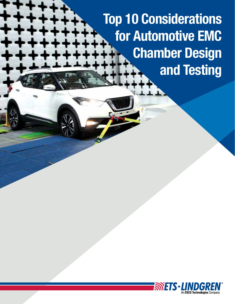Top 10 Considerations for Automotive EMC Chamber Design and Testing

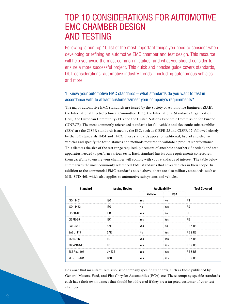# TOP 10 CONSIDERATIONS FOR AUTOMOTIVE EMC CHAMBER DESIGN AND TESTING

Following is our Top 10 list of the most important things you need to consider when developing or refining an automotive EMC chamber and test design. This resource will help you avoid the most common mistakes, and what you should consider to ensure a more successful project. This quick and concise guide covers standards, DUT considerations, automotive industry trends – including autonomous vehicles and more!

## 1. Know your automotive EMC standards – what standards do you want to test in accordance with to attract customers/meet your company's requirements?

The major automotive EMC standards are issued by the Society of Automotive Engineers (SAE), the International Electrotechnical Committee (IEC), the International Standards Organization (ISO), the European Community (EC) and the United Nations Economic Commission for Europe (UNECE). The most commonly referenced standards for full vehicle and electronic subassemblies (ESA) are the CISPR standards issued by the IEC, such as CISPR 25 and CISPR 12, followed closely by the ISO standards 11451 and 11452. These standards apply to traditional, hybrid and electric vehicles and specify the test distances and methods required to validate a product's performance. This dictates the size of the test range required, placement of anechoic absorber (if needed) and test apparatus needed to perform various tests. Each standard has its own requirements so research them carefully to ensure your chamber will comply with your standards of interest. The table below summarizes the most commonly referenced EMC standards that cover vehicles in their scope. In addition to the commercial EMC standards noted above, there are also military standards, such as MIL-STD-461, which also applies to automotive subsystems and vehicles.

| <b>Standard</b>     | <b>Issuing Bodies</b> | <b>Applicability</b> |     | <b>Test Covered</b> |
|---------------------|-----------------------|----------------------|-----|---------------------|
|                     |                       | Vehicle              | ESA |                     |
| ISO 11451           | ISO                   | Yes                  | No  | <b>RS</b>           |
| ISO 11452           | ISO                   | No                   | Yes | <b>RS</b>           |
| CISPR-12            | IEC                   | Yes                  | No  | <b>RE</b>           |
| CISPR-25            | IEC                   | Yes                  | Yes | <b>RE</b>           |
| <b>SAE J551</b>     | <b>SAE</b>            | Yes                  | No  | RE & RS             |
| <b>SAE J1113</b>    | <b>SAE</b>            | No                   | Yes | RE & RS             |
| 95/54/EC            | EC.                   | Yes                  | Yes | RE & RS             |
| 2004/104/EC         | EC                    | Yes                  | Yes | <b>RE &amp; RS</b>  |
| <b>ECE Reg. 105</b> | <b>UNECE</b>          | Yes                  | Yes | RE & RS             |
| MIL-STD-461         | DoD                   | Yes                  | Yes | RE & RS             |

Be aware that manufacturers also issue company specific standards, such as those published by General Motors, Ford, and Fiat Chrysler Automobiles (FCA), etc. These company specific standards each have their own nuances that should be addressed if they are a targeted customer of your test chamber.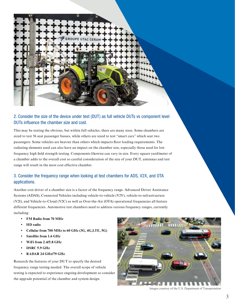

This may be stating the obvious, but within full vehicles, there are many sizes. Some chambers are sized to test 56 seat passenger busses, while others are sized to test "smart cars" which seat two passengers. Some vehicles are heavier than others which impacts floor loading requirements. The radiating elements used can also have an impact on the chamber size, especially those used for low frequency high field strength testing. Components likewise can vary in size. Every square yard/meter of a chamber adds to the overall cost so careful consideration of the size of your DUT, antennas and test range will result in the most cost effective chamber.

## 3. Consider the frequency range when looking at test chambers for ADS, V2X, and OTA applications.

Another cost driver of a chamber size is a factor of the frequency range. Advanced Driver Assistance Systems (ADAS), Connected Vehicles including vehicle-to-vehicle (V2V), vehicle-to-infrastructure (V2I), and Vehicle-to-Cloud (V2C) as well as Over-the-Air (OTA) operational frequencies all feature different frequencies. Automotive test chambers need to address various frequency ranges, currently including:

- **FM Radio from 70 MHz**
- **HD radio**
- **Cellular from 700 MHz to 60 GHz (3G, 4G,LTE, 5G)**
- **Satellite from 1.6 GHz**
- **WiFi from 2.4/5.8 GHz**
- **DSRC 5.9 GHz**
- **RADAR 24 GHz/79 GHz**

Research the features of your DUT to specify the desired frequency range testing needed. The overall scope of vehicle testing is expected to experience ongoing development so consider the upgrade potential of the chamber and system design.



Images courtesy of the U.S. Department of Transportation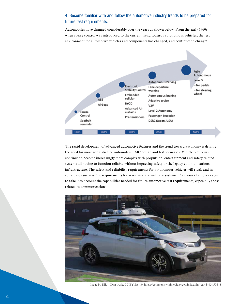## 4. Become familiar with and follow the automotive industry trends to be prepared for future test requirements.

Automobiles have changed considerably over the years as shown below. From the early 1960s when cruise control was introduced to the current trend towards autonomous vehicles, the test environment for automotive vehicles and components has changed, and continues to change!



The rapid development of advanced automotive features and the trend toward autonomy is driving the need for more sophisticated automotive EMC design and test scenarios. Vehicle platforms continue to become increasingly more complex with propulsion, entertainment and safety related systems all having to function reliably without impacting safety or the legacy communications infrastructure. The safety and reliability requirements for autonomous vehicles will rival, and in some cases surpass, the requirements for aerospace and military systems. Plan your chamber design to take into account the capabilities needed for future automotive test requirements, especially those related to communications.



Image by Dllu - Own work, CC BY-SA 4.0, https://commons.wikimedia.org/w/index.php?curid=63450446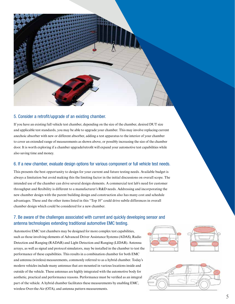

### 5. Consider a retrofit/upgrade of an existing chamber.

If you have an existing full vehicle test chamber, depending on the size of the chamber, desired DUT size and applicable test standards, you may be able to upgrade your chamber. This may involve replacing current anechoic absorber with new or different absorber, adding a test apparatus to the interior of your chamber to cover an extended range of measurements as shown above, or possibly increasing the size of the chamber door. It is worth exploring if a chamber upgrade/retrofit will expand your automotive test capabilities while also saving time and money.

#### 6. If a new chamber, evaluate design options for various component or full vehicle test needs.

This presents the best opportunity to design for your current and future testing needs. Available budget is always a limitation but avoid making this the limiting factor in the initial discussions on overall scope. The intended use of the chamber can drive several design elements. A commercial test lab's need for customer throughput and flexibility is different to a manufacturer's  $R&D$  needs. Addressing and incorporating the new chamber design with the parent building design and construction also has many cost and schedule advantages. These and the other items listed in this "Top 10" could drive subtle differences in overall chamber design which could be considered for a new chamber.

## 7. Be aware of the challenges associated with current and quickly developing sensor and antenna technologies extending traditional automotive EMC testing.

Automotive EMC test chambers may be designed for more complex test capabilities, such as those involving elements of Advanced Driver Assistance Systems (ADAS), Radio Detection and Ranging (RADAR) and Light Detection and Ranging (LIDAR). Antenna arrays, as well as signal and protocol simulators, may be installed in the chamber to test the performance of these capabilities. This results in a combination chamber for both EMC and antenna (wireless) measurements, commonly referred to as a hybrid chamber. Today's modern vehicles include many antennas that are mounted in various locations inside and outside of the vehicle. These antennas are highly integrated with the automotive body for aesthetic, practical and performance reasons. Performance must be verified as an integral part of the vehicle. A hybrid chamber facilitates these measurements by enabling EMC, wireless Over-the-Air (OTA), and antenna pattern measurements.



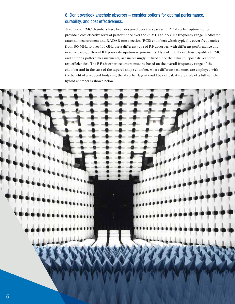## 8. Don't overlook anechoic absorber – consider options for optimal performance, durability, and cost effectiveness.

Traditional EMC chambers have been designed over the years with RF absorber optimized to provide a cost effective level of performance over the 28 MHz to 2.5 GHz frequency range. Dedicated antenna measurement and RADAR cross section (RCS) chambers which typically cover frequencies from 100 MHz to over 100 GHz use a different type of RF absorber, with different performance and in some cases, different RF power dissipation requirements. Hybrid chambers (those capable of EMC and antenna pattern measurements) are increasingly utilized since their dual purpose drives some test efficiencies. The RF absorber treatment must be based on the overall frequency range of the chamber and in the case of the tapered shape chamber, where different test zones are employed with the benefit of a reduced footprint, the absorber layout could be critical. An example of a full vehicle hybrid chamber is shown below.

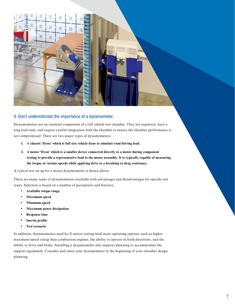

#### 9. Don't underestimate the importance of a dynamometer.

Dynamometers are an essential component of a full vehicle test chamber. They are expensive, have a long lead time, and require careful integration with the chamber to ensure the chamber performance is not compromised. There are two major types of dynamometers:

- **1. A chassis 'Dyno' which is full size vehicle dyno to simulate road driving load.**
- **2. A motor 'Dyno' which is a smaller device connected directly to a motor during component testing to provide a representative load to the motor assembly. It is typically capable of measuring the torque at various speeds while applying drive or a breaking or drag resistance.**

A typical test set up for a motor dynamometer is shown above.

There are many types of dynamometers available with advantages and disadvantages for specific test types. Selection is based on a number of parameters and features:

- **Available torque range**
- **Maximum speed**
- **Minimum speed**
- **Maximum power dissipation**
- **Response time**
- **Inertia** profile
- **Test scenario**

In addition, dynamometers used for E-motor testing need more operating options, such as higher maximum speed rating than combustion engines, the ability to operate in both directions, and the ability to drive and brake. Installing a dynamometer also requires planning to accommodate the support equipment. Consider and select your dynamometer at the beginning of your chamber design planning.